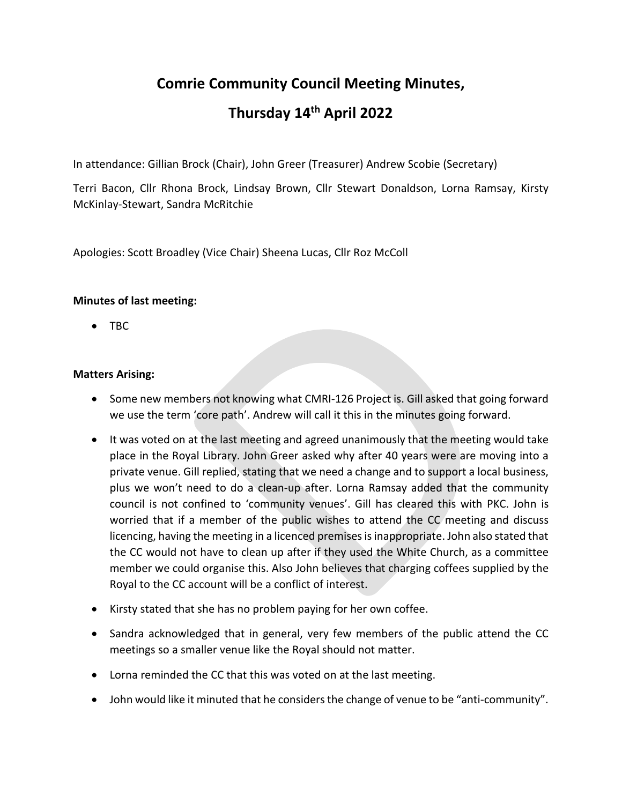# **Comrie Community Council Meeting Minutes, Thursday 14th April 2022**

In attendance: Gillian Brock (Chair), John Greer (Treasurer) Andrew Scobie (Secretary)

Terri Bacon, Cllr Rhona Brock, Lindsay Brown, Cllr Stewart Donaldson, Lorna Ramsay, Kirsty McKinlay-Stewart, Sandra McRitchie

Apologies: Scott Broadley (Vice Chair) Sheena Lucas, Cllr Roz McColl

# **Minutes of last meeting:**

• TBC

# **Matters Arising:**

- Some new members not knowing what CMRI-126 Project is. Gill asked that going forward we use the term 'core path'. Andrew will call it this in the minutes going forward.
- It was voted on at the last meeting and agreed unanimously that the meeting would take place in the Royal Library. John Greer asked why after 40 years were are moving into a private venue. Gill replied, stating that we need a change and to support a local business, plus we won't need to do a clean-up after. Lorna Ramsay added that the community council is not confined to 'community venues'. Gill has cleared this with PKC. John is worried that if a member of the public wishes to attend the CC meeting and discuss licencing, having the meeting in a licenced premises is inappropriate. John also stated that the CC would not have to clean up after if they used the White Church, as a committee member we could organise this. Also John believes that charging coffees supplied by the Royal to the CC account will be a conflict of interest.
- Kirsty stated that she has no problem paying for her own coffee.
- Sandra acknowledged that in general, very few members of the public attend the CC meetings so a smaller venue like the Royal should not matter.
- Lorna reminded the CC that this was voted on at the last meeting.
- John would like it minuted that he considers the change of venue to be "anti-community".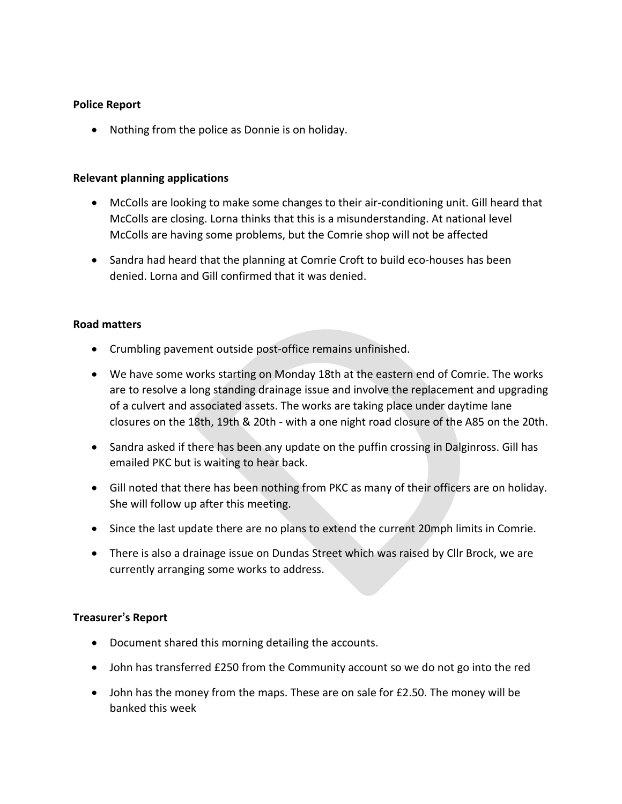#### **Police Report**

• Nothing from the police as Donnie is on holiday.

#### **Relevant planning applications**

- McColls are looking to make some changes to their air-conditioning unit. Gill heard that McColls are closing. Lorna thinks that this is a misunderstanding. At national level McColls are having some problems, but the Comrie shop will not be affected
- Sandra had heard that the planning at Comrie Croft to build eco-houses has been denied. Lorna and Gill confirmed that it was denied.

#### **Road matters**

- Crumbling pavement outside post-office remains unfinished.
- We have some works starting on Monday 18th at the eastern end of Comrie. The works are to resolve a long standing drainage issue and involve the replacement and upgrading of a culvert and associated assets. The works are taking place under daytime lane closures on the 18th, 19th & 20th - with a one night road closure of the A85 on the 20th.
- Sandra asked if there has been any update on the puffin crossing in Dalginross. Gill has emailed PKC but is waiting to hear back.
- Gill noted that there has been nothing from PKC as many of their officers are on holiday. She will follow up after this meeting.
- Since the last update there are no plans to extend the current 20mph limits in Comrie.
- There is also a drainage issue on Dundas Street which was raised by Cllr Brock, we are currently arranging some works to address.

#### **Treasurer's Report**

- Document shared this morning detailing the accounts.
- John has transferred £250 from the Community account so we do not go into the red
- John has the money from the maps. These are on sale for £2.50. The money will be banked this week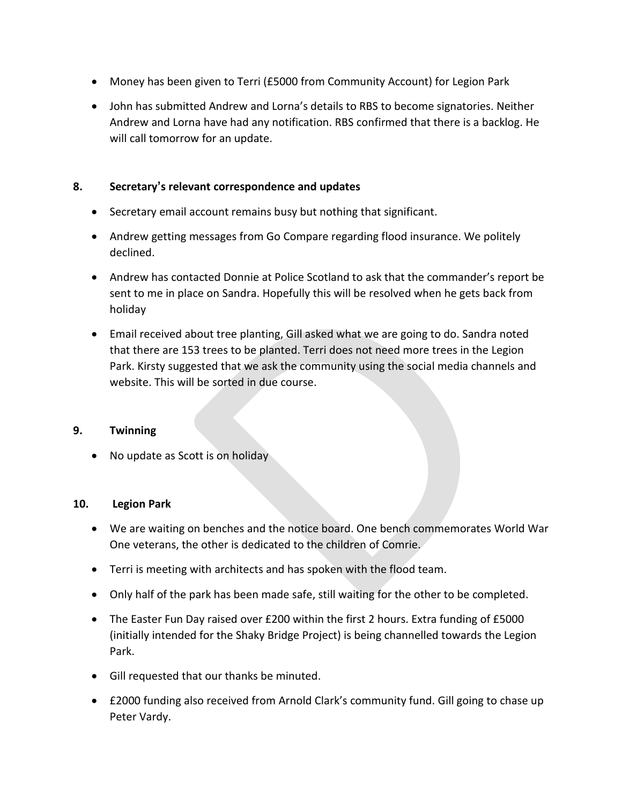- Money has been given to Terri (£5000 from Community Account) for Legion Park
- John has submitted Andrew and Lorna's details to RBS to become signatories. Neither Andrew and Lorna have had any notification. RBS confirmed that there is a backlog. He will call tomorrow for an update.

# **8. Secretary's relevant correspondence and updates**

- Secretary email account remains busy but nothing that significant.
- Andrew getting messages from Go Compare regarding flood insurance. We politely declined.
- Andrew has contacted Donnie at Police Scotland to ask that the commander's report be sent to me in place on Sandra. Hopefully this will be resolved when he gets back from holiday
- Email received about tree planting, Gill asked what we are going to do. Sandra noted that there are 153 trees to be planted. Terri does not need more trees in the Legion Park. Kirsty suggested that we ask the community using the social media channels and website. This will be sorted in due course.

#### **9. Twinning**

• No update as Scott is on holiday

#### **10. Legion Park**

- We are waiting on benches and the notice board. One bench commemorates World War One veterans, the other is dedicated to the children of Comrie.
- Terri is meeting with architects and has spoken with the flood team.
- Only half of the park has been made safe, still waiting for the other to be completed.
- The Easter Fun Day raised over £200 within the first 2 hours. Extra funding of £5000 (initially intended for the Shaky Bridge Project) is being channelled towards the Legion Park.
- Gill requested that our thanks be minuted.
- £2000 funding also received from Arnold Clark's community fund. Gill going to chase up Peter Vardy.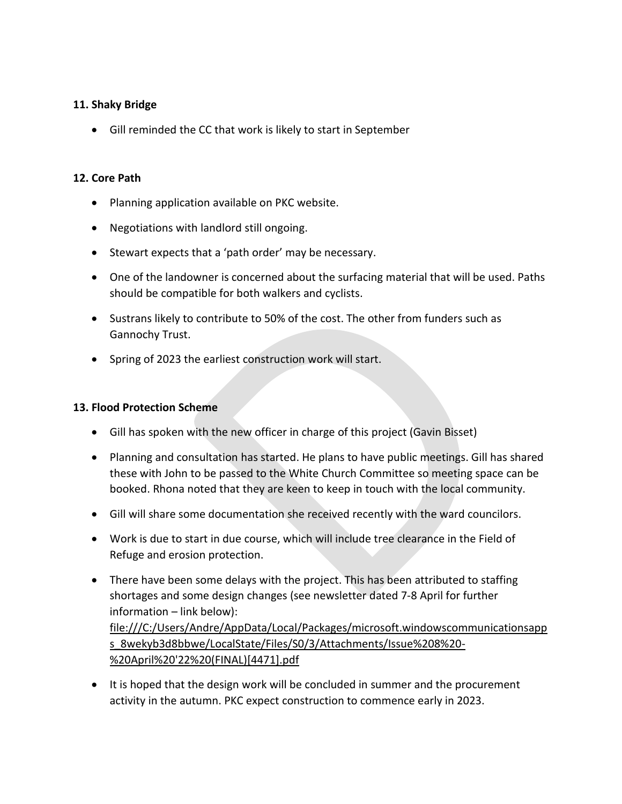### **11. Shaky Bridge**

• Gill reminded the CC that work is likely to start in September

### **12. Core Path**

- Planning application available on PKC website.
- Negotiations with landlord still ongoing.
- Stewart expects that a 'path order' may be necessary.
- One of the landowner is concerned about the surfacing material that will be used. Paths should be compatible for both walkers and cyclists.
- Sustrans likely to contribute to 50% of the cost. The other from funders such as Gannochy Trust.
- Spring of 2023 the earliest construction work will start.

#### **13. Flood Protection Scheme**

- Gill has spoken with the new officer in charge of this project (Gavin Bisset)
- Planning and consultation has started. He plans to have public meetings. Gill has shared these with John to be passed to the White Church Committee so meeting space can be booked. Rhona noted that they are keen to keep in touch with the local community.
- Gill will share some documentation she received recently with the ward councilors.
- Work is due to start in due course, which will include tree clearance in the Field of Refuge and erosion protection.
- There have been some delays with the project. This has been attributed to staffing shortages and some design changes (see newsletter dated 7-8 April for further information – link below): [file:///C:/Users/Andre/AppData/Local/Packages/microsoft.windowscommunicationsapp](file:///C:/Users/Andre/AppData/Local/Packages/microsoft.windowscommunicationsapps_8wekyb3d8bbwe/LocalState/Files/S0/3/Attachments/Issue%208%20-%20April%20) [s\\_8wekyb3d8bbwe/LocalState/Files/S0/3/Attachments/Issue%208%20-](file:///C:/Users/Andre/AppData/Local/Packages/microsoft.windowscommunicationsapps_8wekyb3d8bbwe/LocalState/Files/S0/3/Attachments/Issue%208%20-%20April%20) [%20April%20'22%20\(FINAL\)\[4471\].pdf](file:///C:/Users/Andre/AppData/Local/Packages/microsoft.windowscommunicationsapps_8wekyb3d8bbwe/LocalState/Files/S0/3/Attachments/Issue%208%20-%20April%20)
- It is hoped that the design work will be concluded in summer and the procurement activity in the autumn. PKC expect construction to commence early in 2023.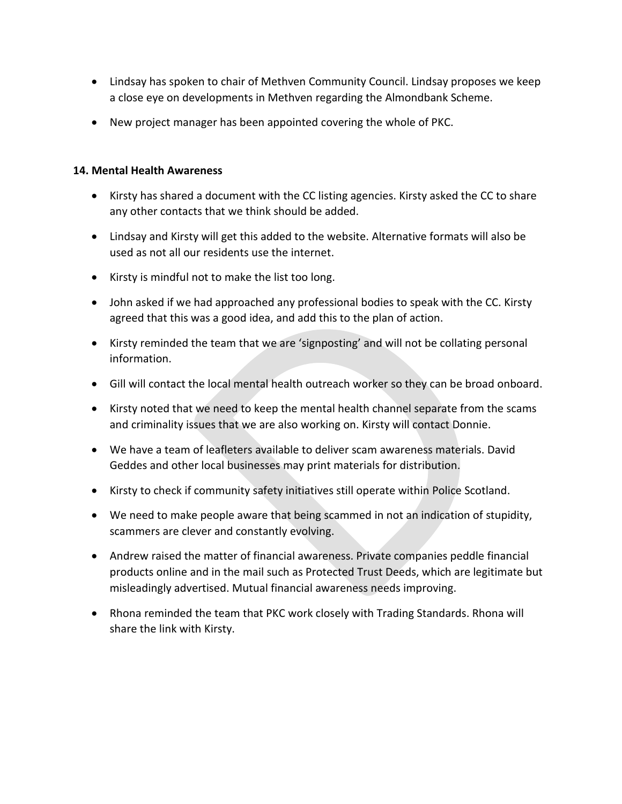- Lindsay has spoken to chair of Methven Community Council. Lindsay proposes we keep a close eye on developments in Methven regarding the Almondbank Scheme.
- New project manager has been appointed covering the whole of PKC.

## **14. Mental Health Awareness**

- Kirsty has shared a document with the CC listing agencies. Kirsty asked the CC to share any other contacts that we think should be added.
- Lindsay and Kirsty will get this added to the website. Alternative formats will also be used as not all our residents use the internet.
- Kirsty is mindful not to make the list too long.
- John asked if we had approached any professional bodies to speak with the CC. Kirsty agreed that this was a good idea, and add this to the plan of action.
- Kirsty reminded the team that we are 'signposting' and will not be collating personal information.
- Gill will contact the local mental health outreach worker so they can be broad onboard.
- Kirsty noted that we need to keep the mental health channel separate from the scams and criminality issues that we are also working on. Kirsty will contact Donnie.
- We have a team of leafleters available to deliver scam awareness materials. David Geddes and other local businesses may print materials for distribution.
- Kirsty to check if community safety initiatives still operate within Police Scotland.
- We need to make people aware that being scammed in not an indication of stupidity, scammers are clever and constantly evolving.
- Andrew raised the matter of financial awareness. Private companies peddle financial products online and in the mail such as Protected Trust Deeds, which are legitimate but misleadingly advertised. Mutual financial awareness needs improving.
- Rhona reminded the team that PKC work closely with Trading Standards. Rhona will share the link with Kirsty.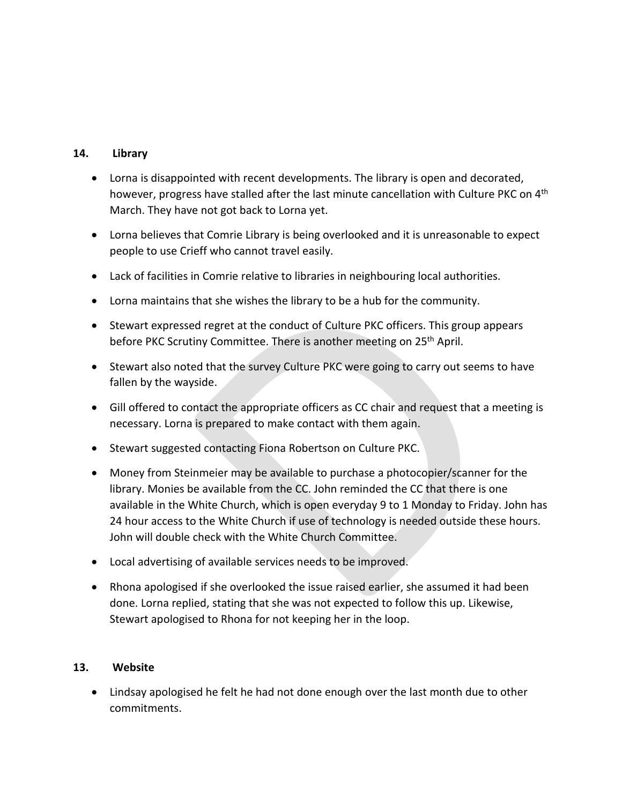## **14. Library**

- Lorna is disappointed with recent developments. The library is open and decorated, however, progress have stalled after the last minute cancellation with Culture PKC on 4<sup>th</sup> March. They have not got back to Lorna yet.
- Lorna believes that Comrie Library is being overlooked and it is unreasonable to expect people to use Crieff who cannot travel easily.
- Lack of facilities in Comrie relative to libraries in neighbouring local authorities.
- Lorna maintains that she wishes the library to be a hub for the community.
- Stewart expressed regret at the conduct of Culture PKC officers. This group appears before PKC Scrutiny Committee. There is another meeting on 25<sup>th</sup> April.
- Stewart also noted that the survey Culture PKC were going to carry out seems to have fallen by the wayside.
- Gill offered to contact the appropriate officers as CC chair and request that a meeting is necessary. Lorna is prepared to make contact with them again.
- Stewart suggested contacting Fiona Robertson on Culture PKC.
- Money from Steinmeier may be available to purchase a photocopier/scanner for the library. Monies be available from the CC. John reminded the CC that there is one available in the White Church, which is open everyday 9 to 1 Monday to Friday. John has 24 hour access to the White Church if use of technology is needed outside these hours. John will double check with the White Church Committee.
- Local advertising of available services needs to be improved.
- Rhona apologised if she overlooked the issue raised earlier, she assumed it had been done. Lorna replied, stating that she was not expected to follow this up. Likewise, Stewart apologised to Rhona for not keeping her in the loop.

# **13. Website**

• Lindsay apologised he felt he had not done enough over the last month due to other commitments.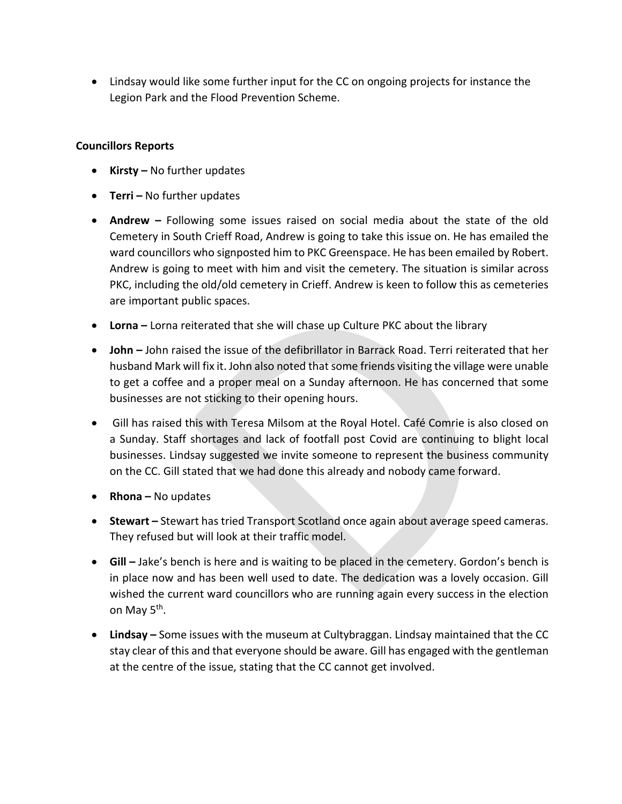• Lindsay would like some further input for the CC on ongoing projects for instance the Legion Park and the Flood Prevention Scheme.

## **Councillors Reports**

- **Kirsty –** No further updates
- **Terri –** No further updates
- **Andrew –** Following some issues raised on social media about the state of the old Cemetery in South Crieff Road, Andrew is going to take this issue on. He has emailed the ward councillors who signposted him to PKC Greenspace. He has been emailed by Robert. Andrew is going to meet with him and visit the cemetery. The situation is similar across PKC, including the old/old cemetery in Crieff. Andrew is keen to follow this as cemeteries are important public spaces.
- **Lorna –** Lorna reiterated that she will chase up Culture PKC about the library
- **John –** John raised the issue of the defibrillator in Barrack Road. Terri reiterated that her husband Mark will fix it. John also noted that some friends visiting the village were unable to get a coffee and a proper meal on a Sunday afternoon. He has concerned that some businesses are not sticking to their opening hours.
- Gill has raised this with Teresa Milsom at the Royal Hotel. Café Comrie is also closed on a Sunday. Staff shortages and lack of footfall post Covid are continuing to blight local businesses. Lindsay suggested we invite someone to represent the business community on the CC. Gill stated that we had done this already and nobody came forward.
- **Rhona –** No updates
- **Stewart –** Stewart has tried Transport Scotland once again about average speed cameras. They refused but will look at their traffic model.
- **Gill –** Jake's bench is here and is waiting to be placed in the cemetery. Gordon's bench is in place now and has been well used to date. The dedication was a lovely occasion. Gill wished the current ward councillors who are running again every success in the election on May 5<sup>th</sup>.
- **Lindsay –** Some issues with the museum at Cultybraggan. Lindsay maintained that the CC stay clear of this and that everyone should be aware. Gill has engaged with the gentleman at the centre of the issue, stating that the CC cannot get involved.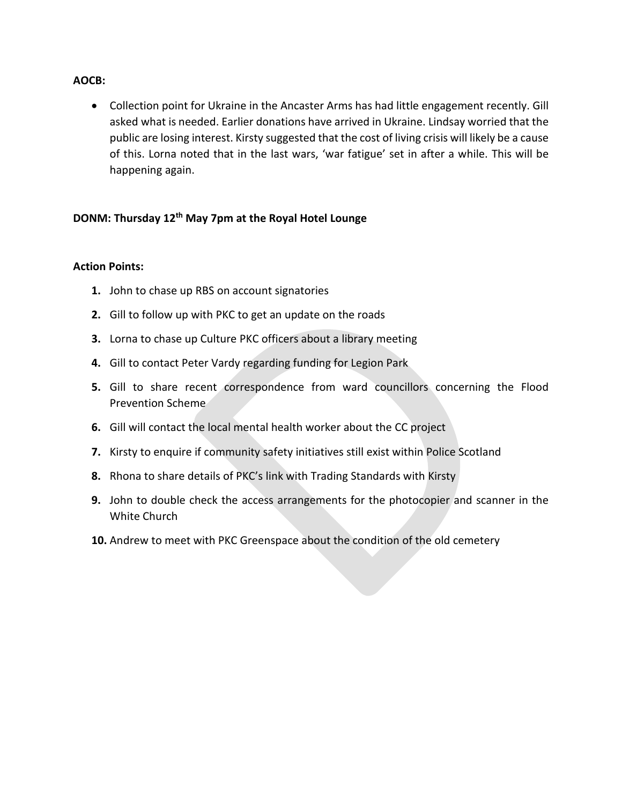#### **AOCB:**

• Collection point for Ukraine in the Ancaster Arms has had little engagement recently. Gill asked what is needed. Earlier donations have arrived in Ukraine. Lindsay worried that the public are losing interest. Kirsty suggested that the cost of living crisis will likely be a cause of this. Lorna noted that in the last wars, 'war fatigue' set in after a while. This will be happening again.

# **DONM: Thursday 12th May 7pm at the Royal Hotel Lounge**

#### **Action Points:**

- **1.** John to chase up RBS on account signatories
- **2.** Gill to follow up with PKC to get an update on the roads
- **3.** Lorna to chase up Culture PKC officers about a library meeting
- **4.** Gill to contact Peter Vardy regarding funding for Legion Park
- **5.** Gill to share recent correspondence from ward councillors concerning the Flood Prevention Scheme
- **6.** Gill will contact the local mental health worker about the CC project
- **7.** Kirsty to enquire if community safety initiatives still exist within Police Scotland
- **8.** Rhona to share details of PKC's link with Trading Standards with Kirsty
- **9.** John to double check the access arrangements for the photocopier and scanner in the White Church
- **10.** Andrew to meet with PKC Greenspace about the condition of the old cemetery